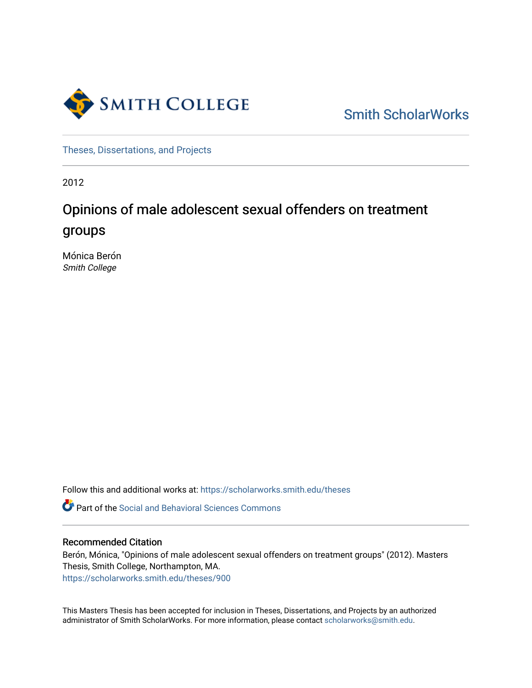

[Smith ScholarWorks](https://scholarworks.smith.edu/) 

[Theses, Dissertations, and Projects](https://scholarworks.smith.edu/theses) 

2012

# Opinions of male adolescent sexual offenders on treatment groups

Mónica Berón Smith College

Follow this and additional works at: [https://scholarworks.smith.edu/theses](https://scholarworks.smith.edu/theses?utm_source=scholarworks.smith.edu%2Ftheses%2F900&utm_medium=PDF&utm_campaign=PDFCoverPages) 

**C** Part of the Social and Behavioral Sciences Commons

## Recommended Citation

Berón, Mónica, "Opinions of male adolescent sexual offenders on treatment groups" (2012). Masters Thesis, Smith College, Northampton, MA. [https://scholarworks.smith.edu/theses/900](https://scholarworks.smith.edu/theses/900?utm_source=scholarworks.smith.edu%2Ftheses%2F900&utm_medium=PDF&utm_campaign=PDFCoverPages) 

This Masters Thesis has been accepted for inclusion in Theses, Dissertations, and Projects by an authorized administrator of Smith ScholarWorks. For more information, please contact [scholarworks@smith.edu](mailto:scholarworks@smith.edu).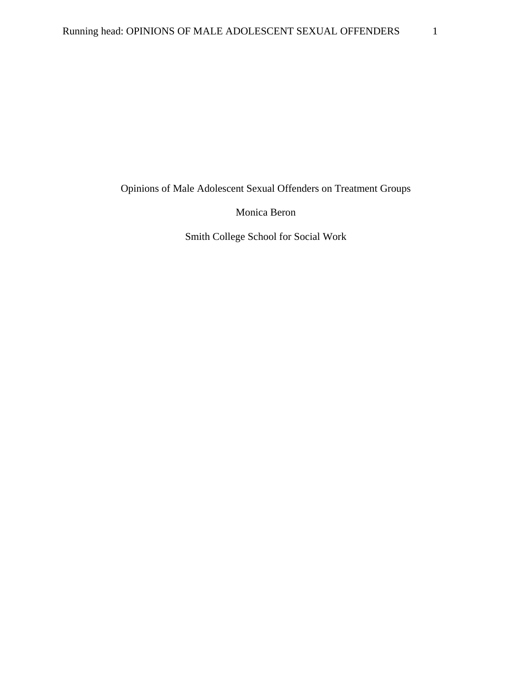Opinions of Male Adolescent Sexual Offenders on Treatment Groups

Monica Beron

Smith College School for Social Work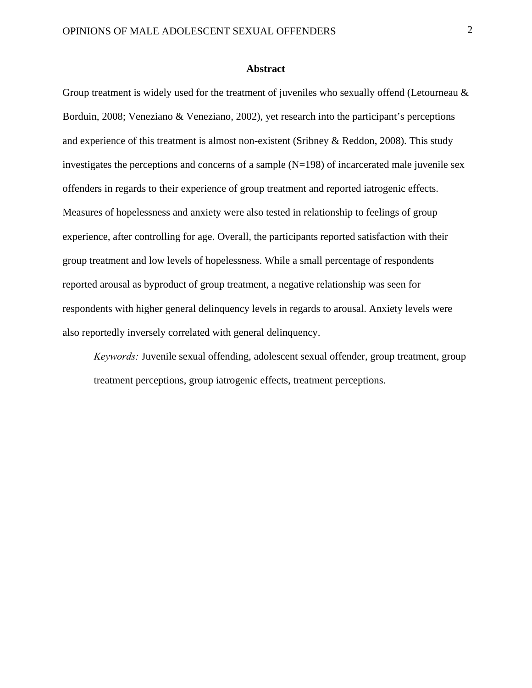### **Abstract**

Group treatment is widely used for the treatment of juveniles who sexually offend (Letourneau & Borduin, 2008; Veneziano & Veneziano, 2002), yet research into the participant's perceptions and experience of this treatment is almost non-existent (Sribney & Reddon, 2008). This study investigates the perceptions and concerns of a sample  $(N=198)$  of incarcerated male juvenile sex offenders in regards to their experience of group treatment and reported iatrogenic effects. Measures of hopelessness and anxiety were also tested in relationship to feelings of group experience, after controlling for age. Overall, the participants reported satisfaction with their group treatment and low levels of hopelessness. While a small percentage of respondents reported arousal as byproduct of group treatment, a negative relationship was seen for respondents with higher general delinquency levels in regards to arousal. Anxiety levels were also reportedly inversely correlated with general delinquency.

*Keywords:* Juvenile sexual offending, adolescent sexual offender, group treatment, group treatment perceptions, group iatrogenic effects, treatment perceptions.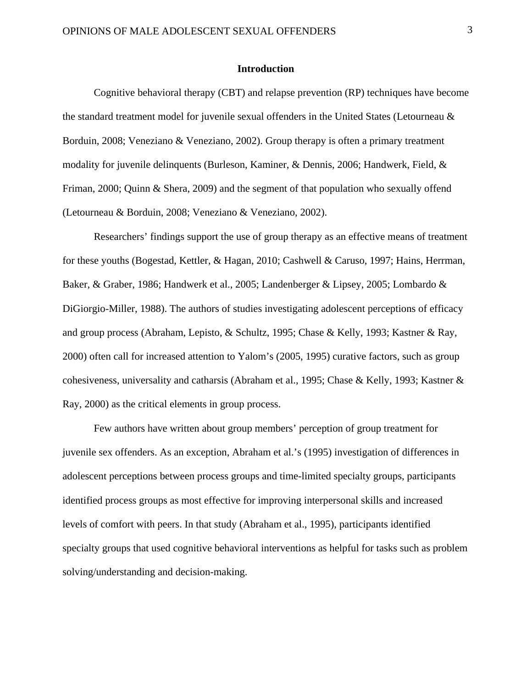### **Introduction**

Cognitive behavioral therapy (CBT) and relapse prevention (RP) techniques have become the standard treatment model for juvenile sexual offenders in the United States (Letourneau & Borduin, 2008; Veneziano & Veneziano, 2002). Group therapy is often a primary treatment modality for juvenile delinquents (Burleson, Kaminer, & Dennis, 2006; Handwerk, Field, & Friman, 2000; Quinn & Shera, 2009) and the segment of that population who sexually offend (Letourneau & Borduin, 2008; Veneziano & Veneziano, 2002).

Researchers' findings support the use of group therapy as an effective means of treatment for these youths (Bogestad, Kettler, & Hagan, 2010; Cashwell & Caruso, 1997; Hains, Herrman, Baker, & Graber, 1986; Handwerk et al., 2005; Landenberger & Lipsey, 2005; Lombardo & DiGiorgio-Miller, 1988). The authors of studies investigating adolescent perceptions of efficacy and group process (Abraham, Lepisto, & Schultz, 1995; Chase & Kelly, 1993; Kastner & Ray, 2000) often call for increased attention to Yalom's (2005, 1995) curative factors, such as group cohesiveness, universality and catharsis (Abraham et al., 1995; Chase & Kelly, 1993; Kastner & Ray, 2000) as the critical elements in group process.

Few authors have written about group members' perception of group treatment for juvenile sex offenders. As an exception, Abraham et al.'s (1995) investigation of differences in adolescent perceptions between process groups and time-limited specialty groups, participants identified process groups as most effective for improving interpersonal skills and increased levels of comfort with peers. In that study (Abraham et al., 1995), participants identified specialty groups that used cognitive behavioral interventions as helpful for tasks such as problem solving/understanding and decision-making.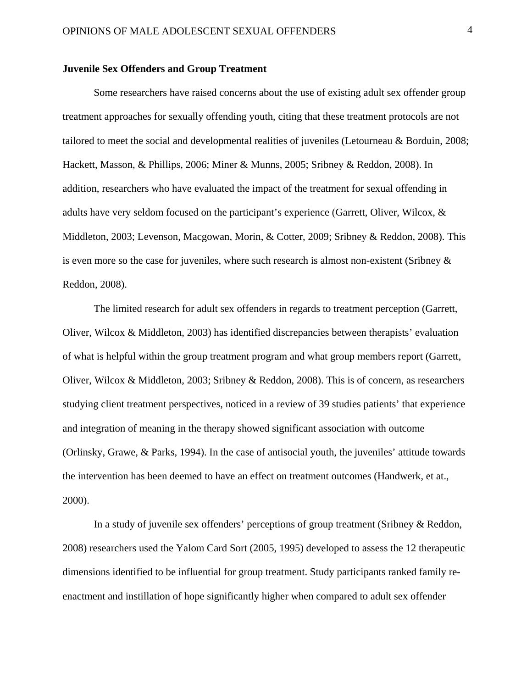### **Juvenile Sex Offenders and Group Treatment**

Some researchers have raised concerns about the use of existing adult sex offender group treatment approaches for sexually offending youth, citing that these treatment protocols are not tailored to meet the social and developmental realities of juveniles (Letourneau & Borduin, 2008; Hackett, Masson, & Phillips, 2006; Miner & Munns, 2005; Sribney & Reddon, 2008). In addition, researchers who have evaluated the impact of the treatment for sexual offending in adults have very seldom focused on the participant's experience (Garrett, Oliver, Wilcox, & Middleton, 2003; Levenson, Macgowan, Morin, & Cotter, 2009; Sribney & Reddon, 2008). This is even more so the case for juveniles, where such research is almost non-existent (Sribney & Reddon, 2008).

The limited research for adult sex offenders in regards to treatment perception (Garrett, Oliver, Wilcox & Middleton, 2003) has identified discrepancies between therapists' evaluation of what is helpful within the group treatment program and what group members report (Garrett, Oliver, Wilcox & Middleton, 2003; Sribney & Reddon, 2008). This is of concern, as researchers studying client treatment perspectives, noticed in a review of 39 studies patients' that experience and integration of meaning in the therapy showed significant association with outcome (Orlinsky, Grawe, & Parks, 1994). In the case of antisocial youth, the juveniles' attitude towards the intervention has been deemed to have an effect on treatment outcomes (Handwerk, et at., 2000).

In a study of juvenile sex offenders' perceptions of group treatment (Sribney & Reddon, 2008) researchers used the Yalom Card Sort (2005, 1995) developed to assess the 12 therapeutic dimensions identified to be influential for group treatment. Study participants ranked family reenactment and instillation of hope significantly higher when compared to adult sex offender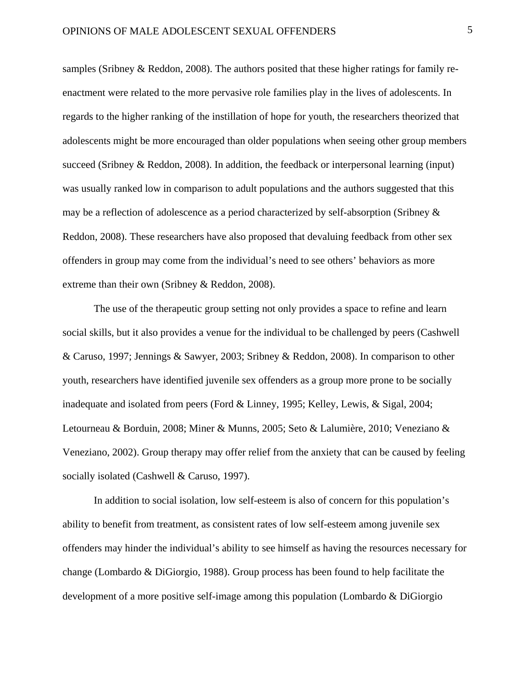samples (Sribney & Reddon, 2008). The authors posited that these higher ratings for family reenactment were related to the more pervasive role families play in the lives of adolescents. In regards to the higher ranking of the instillation of hope for youth, the researchers theorized that adolescents might be more encouraged than older populations when seeing other group members succeed (Sribney & Reddon, 2008). In addition, the feedback or interpersonal learning (input) was usually ranked low in comparison to adult populations and the authors suggested that this may be a reflection of adolescence as a period characterized by self-absorption (Sribney & Reddon, 2008). These researchers have also proposed that devaluing feedback from other sex offenders in group may come from the individual's need to see others' behaviors as more extreme than their own (Sribney & Reddon, 2008).

The use of the therapeutic group setting not only provides a space to refine and learn social skills, but it also provides a venue for the individual to be challenged by peers (Cashwell & Caruso, 1997; Jennings & Sawyer, 2003; Sribney & Reddon, 2008). In comparison to other youth, researchers have identified juvenile sex offenders as a group more prone to be socially inadequate and isolated from peers (Ford & Linney, 1995; Kelley, Lewis, & Sigal, 2004; Letourneau & Borduin, 2008; Miner & Munns, 2005; Seto & Lalumière, 2010; Veneziano & Veneziano, 2002). Group therapy may offer relief from the anxiety that can be caused by feeling socially isolated (Cashwell & Caruso, 1997).

In addition to social isolation, low self-esteem is also of concern for this population's ability to benefit from treatment, as consistent rates of low self-esteem among juvenile sex offenders may hinder the individual's ability to see himself as having the resources necessary for change (Lombardo & DiGiorgio, 1988). Group process has been found to help facilitate the development of a more positive self-image among this population (Lombardo & DiGiorgio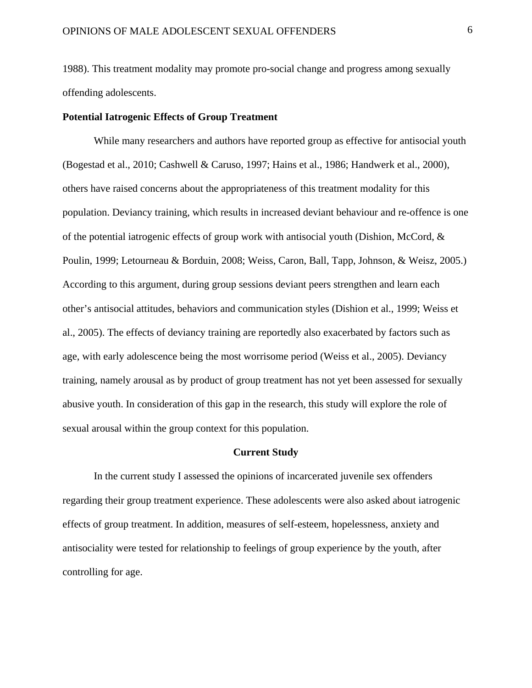1988). This treatment modality may promote pro-social change and progress among sexually offending adolescents.

### **Potential Iatrogenic Effects of Group Treatment**

While many researchers and authors have reported group as effective for antisocial youth (Bogestad et al., 2010; Cashwell & Caruso, 1997; Hains et al., 1986; Handwerk et al., 2000), others have raised concerns about the appropriateness of this treatment modality for this population. Deviancy training, which results in increased deviant behaviour and re-offence is one of the potential iatrogenic effects of group work with antisocial youth (Dishion, McCord, & Poulin, 1999; Letourneau & Borduin, 2008; Weiss, Caron, Ball, Tapp, Johnson, & Weisz, 2005.) According to this argument, during group sessions deviant peers strengthen and learn each other's antisocial attitudes, behaviors and communication styles (Dishion et al., 1999; Weiss et al., 2005). The effects of deviancy training are reportedly also exacerbated by factors such as age, with early adolescence being the most worrisome period (Weiss et al., 2005). Deviancy training, namely arousal as by product of group treatment has not yet been assessed for sexually abusive youth. In consideration of this gap in the research, this study will explore the role of sexual arousal within the group context for this population.

### **Current Study**

In the current study I assessed the opinions of incarcerated juvenile sex offenders regarding their group treatment experience. These adolescents were also asked about iatrogenic effects of group treatment. In addition, measures of self-esteem, hopelessness, anxiety and antisociality were tested for relationship to feelings of group experience by the youth, after controlling for age.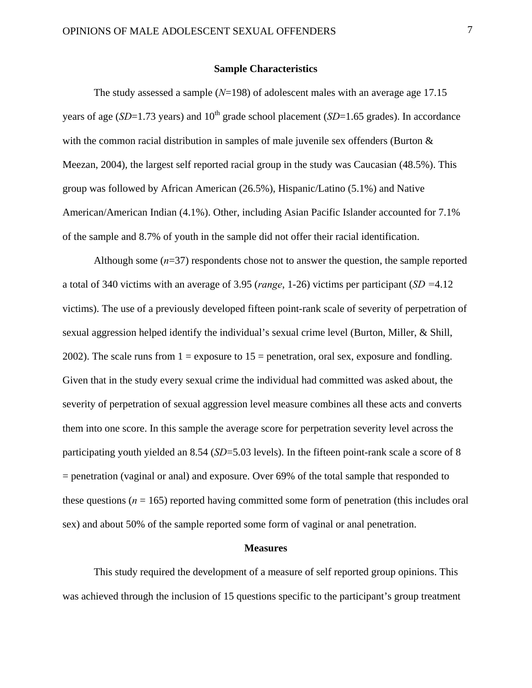### **Sample Characteristics**

 The study assessed a sample (*N*=198) of adolescent males with an average age 17.15 years of age ( $SD=1.73$  years) and  $10<sup>th</sup>$  grade school placement ( $SD=1.65$  grades). In accordance with the common racial distribution in samples of male juvenile sex offenders (Burton & Meezan, 2004), the largest self reported racial group in the study was Caucasian (48.5%). This group was followed by African American (26.5%), Hispanic/Latino (5.1%) and Native American/American Indian (4.1%). Other, including Asian Pacific Islander accounted for 7.1% of the sample and 8.7% of youth in the sample did not offer their racial identification.

Although some  $(n=37)$  respondents chose not to answer the question, the sample reported a total of 340 victims with an average of 3.95 (*range*, 1-26) victims per participant (*SD =*4.12 victims). The use of a previously developed fifteen point-rank scale of severity of perpetration of sexual aggression helped identify the individual's sexual crime level (Burton, Miller, & Shill, 2002). The scale runs from  $1 =$  exposure to  $15 =$  penetration, oral sex, exposure and fondling. Given that in the study every sexual crime the individual had committed was asked about, the severity of perpetration of sexual aggression level measure combines all these acts and converts them into one score. In this sample the average score for perpetration severity level across the participating youth yielded an 8.54 (*SD*=5.03 levels). In the fifteen point-rank scale a score of 8 = penetration (vaginal or anal) and exposure. Over 69% of the total sample that responded to these questions ( $n = 165$ ) reported having committed some form of penetration (this includes oral sex) and about 50% of the sample reported some form of vaginal or anal penetration.

#### **Measures**

 This study required the development of a measure of self reported group opinions. This was achieved through the inclusion of 15 questions specific to the participant's group treatment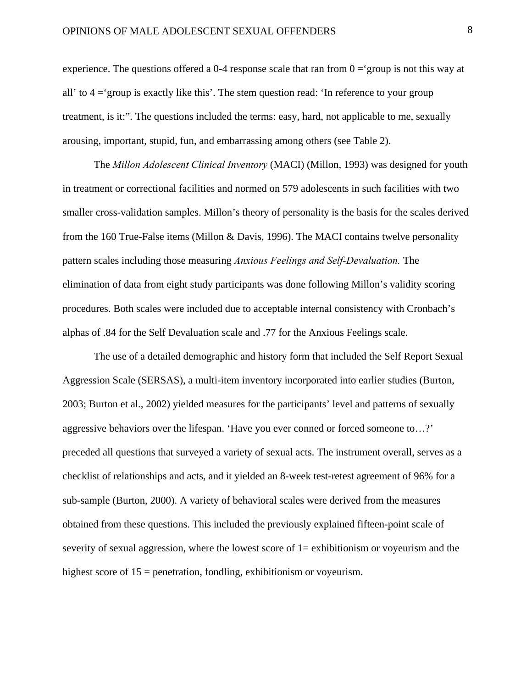experience. The questions offered a 0-4 response scale that ran from  $0 = \text{group}$  is not this way at all' to  $4 = \text{group}$  is exactly like this'. The stem question read:  $\text{sup}$  in reference to your group treatment, is it:". The questions included the terms: easy, hard, not applicable to me, sexually arousing, important, stupid, fun, and embarrassing among others (see Table 2).

The *Millon Adolescent Clinical Inventory* (MACI) (Millon, 1993) was designed for youth in treatment or correctional facilities and normed on 579 adolescents in such facilities with two smaller cross-validation samples. Millon's theory of personality is the basis for the scales derived from the 160 True-False items (Millon & Davis, 1996). The MACI contains twelve personality pattern scales including those measuring *Anxious Feelings and Self-Devaluation.* The elimination of data from eight study participants was done following Millon's validity scoring procedures. Both scales were included due to acceptable internal consistency with Cronbach's alphas of .84 for the Self Devaluation scale and .77 for the Anxious Feelings scale.

 The use of a detailed demographic and history form that included the Self Report Sexual Aggression Scale (SERSAS), a multi-item inventory incorporated into earlier studies (Burton, 2003; Burton et al., 2002) yielded measures for the participants' level and patterns of sexually aggressive behaviors over the lifespan. 'Have you ever conned or forced someone to…?' preceded all questions that surveyed a variety of sexual acts. The instrument overall, serves as a checklist of relationships and acts, and it yielded an 8-week test-retest agreement of 96% for a sub-sample (Burton, 2000). A variety of behavioral scales were derived from the measures obtained from these questions. This included the previously explained fifteen-point scale of severity of sexual aggression, where the lowest score of  $1$  = exhibitionism or voyeurism and the highest score of 15 = penetration, fondling, exhibitionism or voyeurism.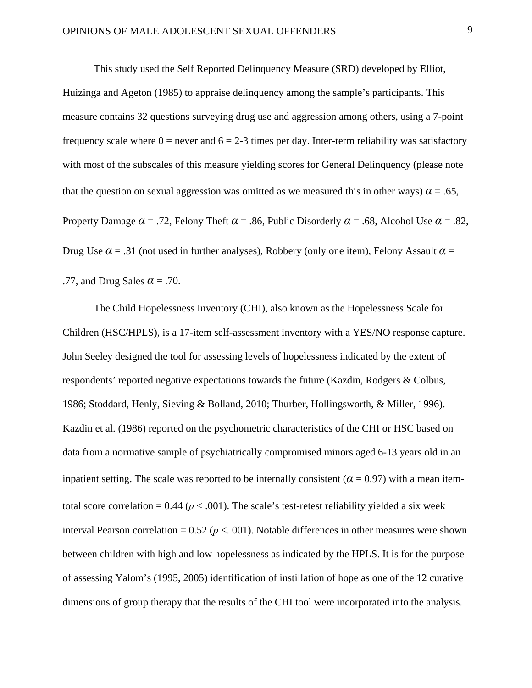This study used the Self Reported Delinquency Measure (SRD) developed by Elliot, Huizinga and Ageton (1985) to appraise delinquency among the sample's participants. This measure contains 32 questions surveying drug use and aggression among others, using a 7-point frequency scale where  $0 =$  never and  $6 = 2-3$  times per day. Inter-term reliability was satisfactory with most of the subscales of this measure yielding scores for General Delinquency (please note that the question on sexual aggression was omitted as we measured this in other ways)  $\alpha = .65$ , Property Damage  $\alpha$  = .72, Felony Theft  $\alpha$  = .86, Public Disorderly  $\alpha$  = .68, Alcohol Use  $\alpha$  = .82, Drug Use  $\alpha$  = .31 (not used in further analyses), Robbery (only one item), Felony Assault  $\alpha$  = .77, and Drug Sales *α* = .70.

 The Child Hopelessness Inventory (CHI), also known as the Hopelessness Scale for Children (HSC/HPLS), is a 17-item self-assessment inventory with a YES/NO response capture. John Seeley designed the tool for assessing levels of hopelessness indicated by the extent of respondents' reported negative expectations towards the future (Kazdin, Rodgers & Colbus, 1986; Stoddard, Henly, Sieving & Bolland, 2010; Thurber, Hollingsworth, & Miller, 1996). Kazdin et al. (1986) reported on the psychometric characteristics of the CHI or HSC based on data from a normative sample of psychiatrically compromised minors aged 6-13 years old in an inpatient setting. The scale was reported to be internally consistent  $(\alpha = 0.97)$  with a mean itemtotal score correlation =  $0.44$  ( $p < .001$ ). The scale's test-retest reliability yielded a six week interval Pearson correlation =  $0.52$  ( $p < 0.01$ ). Notable differences in other measures were shown between children with high and low hopelessness as indicated by the HPLS. It is for the purpose of assessing Yalom's (1995, 2005) identification of instillation of hope as one of the 12 curative dimensions of group therapy that the results of the CHI tool were incorporated into the analysis.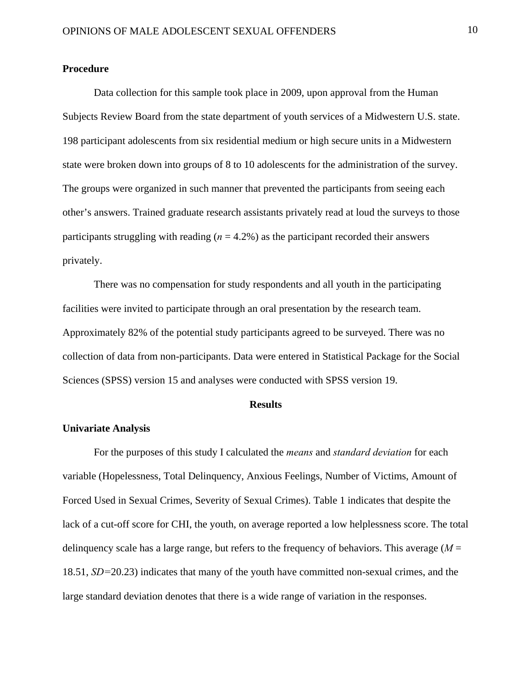### **Procedure**

 Data collection for this sample took place in 2009, upon approval from the Human Subjects Review Board from the state department of youth services of a Midwestern U.S. state. 198 participant adolescents from six residential medium or high secure units in a Midwestern state were broken down into groups of 8 to 10 adolescents for the administration of the survey. The groups were organized in such manner that prevented the participants from seeing each other's answers. Trained graduate research assistants privately read at loud the surveys to those participants struggling with reading  $(n = 4.2\%)$  as the participant recorded their answers privately.

 There was no compensation for study respondents and all youth in the participating facilities were invited to participate through an oral presentation by the research team. Approximately 82% of the potential study participants agreed to be surveyed. There was no collection of data from non-participants. Data were entered in Statistical Package for the Social Sciences (SPSS) version 15 and analyses were conducted with SPSS version 19.

### **Results**

### **Univariate Analysis**

 For the purposes of this study I calculated the *means* and *standard deviation* for each variable (Hopelessness, Total Delinquency, Anxious Feelings, Number of Victims, Amount of Forced Used in Sexual Crimes, Severity of Sexual Crimes). Table 1 indicates that despite the lack of a cut-off score for CHI, the youth, on average reported a low helplessness score. The total delinquency scale has a large range, but refers to the frequency of behaviors. This average  $(M =$ 18.51, *SD=*20.23) indicates that many of the youth have committed non-sexual crimes, and the large standard deviation denotes that there is a wide range of variation in the responses.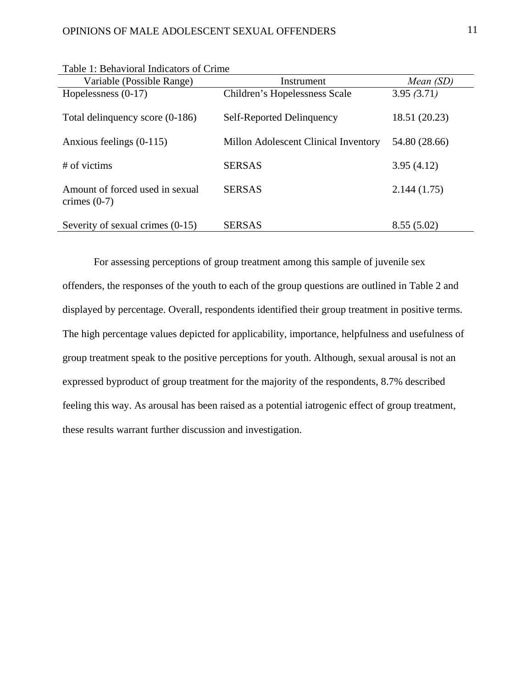| Variable (Possible Range)                         | Instrument                           | Mean (SD)     |
|---------------------------------------------------|--------------------------------------|---------------|
| Hopelessness $(0-17)$                             | Children's Hopelessness Scale        | 3.95(3.71)    |
| Total delinquency score (0-186)                   | Self-Reported Delinquency            | 18.51 (20.23) |
| Anxious feelings (0-115)                          | Millon Adolescent Clinical Inventory | 54.80 (28.66) |
| # of victims                                      | <b>SERSAS</b>                        | 3.95(4.12)    |
| Amount of forced used in sexual<br>crimes $(0-7)$ | <b>SERSAS</b>                        | 2.144(1.75)   |
| Severity of sexual crimes (0-15)                  | <b>SERSAS</b>                        | 8.55(5.02)    |

Table 1: Behavioral Indicators of Crime

For assessing perceptions of group treatment among this sample of juvenile sex offenders, the responses of the youth to each of the group questions are outlined in Table 2 and displayed by percentage. Overall, respondents identified their group treatment in positive terms. The high percentage values depicted for applicability, importance, helpfulness and usefulness of group treatment speak to the positive perceptions for youth. Although, sexual arousal is not an expressed byproduct of group treatment for the majority of the respondents, 8.7% described feeling this way. As arousal has been raised as a potential iatrogenic effect of group treatment, these results warrant further discussion and investigation.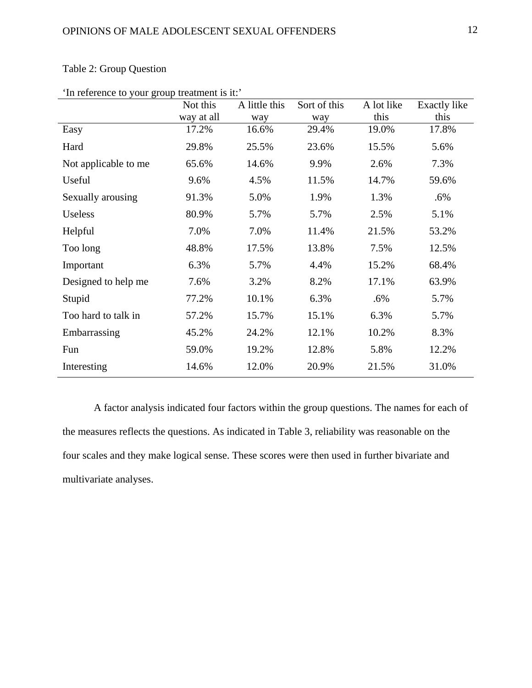| In reference to your group treatment to it. | Not this<br>way at all | A little this<br>way | Sort of this<br>way | A lot like<br>this | Exactly like<br>this |
|---------------------------------------------|------------------------|----------------------|---------------------|--------------------|----------------------|
| Easy                                        | 17.2%                  | 16.6%                | 29.4%               | 19.0%              | 17.8%                |
| Hard                                        | 29.8%                  | 25.5%                | 23.6%               | 15.5%              | 5.6%                 |
| Not applicable to me                        | 65.6%                  | 14.6%                | 9.9%                | 2.6%               | 7.3%                 |
| Useful                                      | 9.6%                   | 4.5%                 | 11.5%               | 14.7%              | 59.6%                |
| Sexually arousing                           | 91.3%                  | 5.0%                 | 1.9%                | 1.3%               | $.6\%$               |
| Useless                                     | 80.9%                  | 5.7%                 | 5.7%                | 2.5%               | 5.1%                 |
| Helpful                                     | 7.0%                   | 7.0%                 | 11.4%               | 21.5%              | 53.2%                |
| Too long                                    | 48.8%                  | 17.5%                | 13.8%               | 7.5%               | 12.5%                |
| Important                                   | 6.3%                   | 5.7%                 | 4.4%                | 15.2%              | 68.4%                |
| Designed to help me                         | 7.6%                   | 3.2%                 | 8.2%                | 17.1%              | 63.9%                |
| Stupid                                      | 77.2%                  | 10.1%                | 6.3%                | .6%                | 5.7%                 |
| Too hard to talk in                         | 57.2%                  | 15.7%                | 15.1%               | 6.3%               | 5.7%                 |
| Embarrassing                                | 45.2%                  | 24.2%                | 12.1%               | 10.2%              | 8.3%                 |
| Fun                                         | 59.0%                  | 19.2%                | 12.8%               | 5.8%               | 12.2%                |
| Interesting                                 | 14.6%                  | 12.0%                | 20.9%               | 21.5%              | 31.0%                |

# Table 2: Group Question

'In reference to your group treatment is it:'

A factor analysis indicated four factors within the group questions. The names for each of the measures reflects the questions. As indicated in Table 3, reliability was reasonable on the four scales and they make logical sense. These scores were then used in further bivariate and multivariate analyses.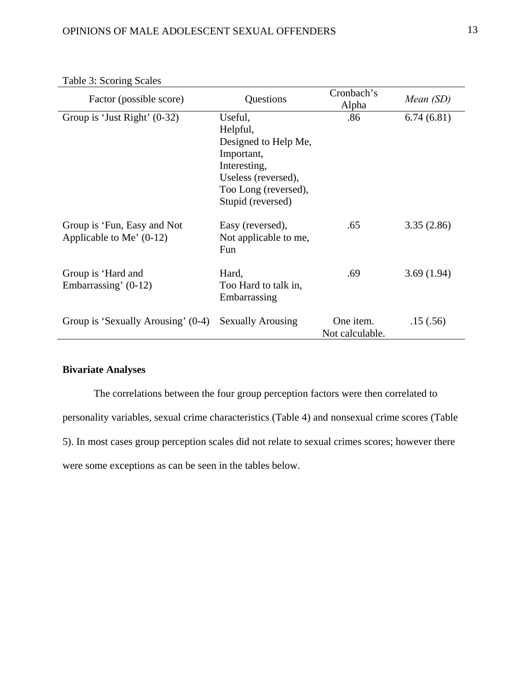| Factor (possible score)                                   | Questions                                                                                                                                     | Cronbach's<br>Alpha          | Mean (SD)  |
|-----------------------------------------------------------|-----------------------------------------------------------------------------------------------------------------------------------------------|------------------------------|------------|
| Group is 'Just Right' $(0-32)$                            | Useful,<br>Helpful,<br>Designed to Help Me,<br>Important,<br>Interesting,<br>Useless (reversed),<br>Too Long (reversed),<br>Stupid (reversed) | .86                          | 6.74(6.81) |
| Group is 'Fun, Easy and Not<br>Applicable to Me' $(0-12)$ | Easy (reversed),<br>Not applicable to me,<br>Fun                                                                                              | .65                          | 3.35(2.86) |
| Group is 'Hard and<br>Embarrassing' $(0-12)$              | Hard,<br>Too Hard to talk in,<br>Embarrassing                                                                                                 | .69                          | 3.69(1.94) |
| Group is 'Sexually Arousing' (0-4)                        | <b>Sexually Arousing</b>                                                                                                                      | One item.<br>Not calculable. | .15(.56)   |

<u> 1980 - Johann Barbara, martxa amerikan personal (h. 1980).</u>

# Table 3: Scoring Scales

# **Bivariate Analyses**

The correlations between the four group perception factors were then correlated to personality variables, sexual crime characteristics (Table 4) and nonsexual crime scores (Table 5). In most cases group perception scales did not relate to sexual crimes scores; however there were some exceptions as can be seen in the tables below.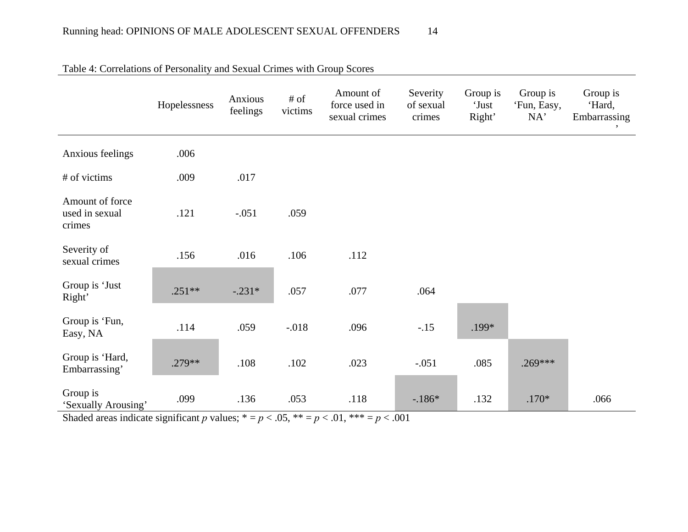|                                             | Hopelessness | Anxious<br>feelings | # of<br>victims | Amount of<br>force used in<br>sexual crimes | Severity<br>of sexual<br>crimes | Group is<br>'Just<br>Right' | Group is<br>'Fun, Easy,<br>NA' | Group is<br>'Hard,<br>Embarrassing |
|---------------------------------------------|--------------|---------------------|-----------------|---------------------------------------------|---------------------------------|-----------------------------|--------------------------------|------------------------------------|
| Anxious feelings                            | .006         |                     |                 |                                             |                                 |                             |                                |                                    |
| # of victims                                | .009         | .017                |                 |                                             |                                 |                             |                                |                                    |
| Amount of force<br>used in sexual<br>crimes | .121         | $-.051$             | .059            |                                             |                                 |                             |                                |                                    |
| Severity of<br>sexual crimes                | .156         | .016                | .106            | .112                                        |                                 |                             |                                |                                    |
| Group is 'Just<br>Right'                    | $.251**$     | $-.231*$            | .057            | .077                                        | .064                            |                             |                                |                                    |
| Group is 'Fun,<br>Easy, NA                  | .114         | .059                | $-.018$         | .096                                        | $-.15$                          | .199*                       |                                |                                    |
| Group is 'Hard,<br>Embarrassing'            | .279**       | .108                | .102            | .023                                        | $-.051$                         | .085                        | $.269***$                      |                                    |
| Group is<br>'Sexually Arousing'             | .099         | .136                | .053            | .118                                        | $-186*$                         | .132                        | $.170*$                        | .066                               |

Table 4: Correlations of Personality and Sexual Crimes with Group Scores

Shaded areas indicate significant *p* values; \* =  $p < .05$ , \*\* =  $p < .01$ , \*\*\* =  $p < .001$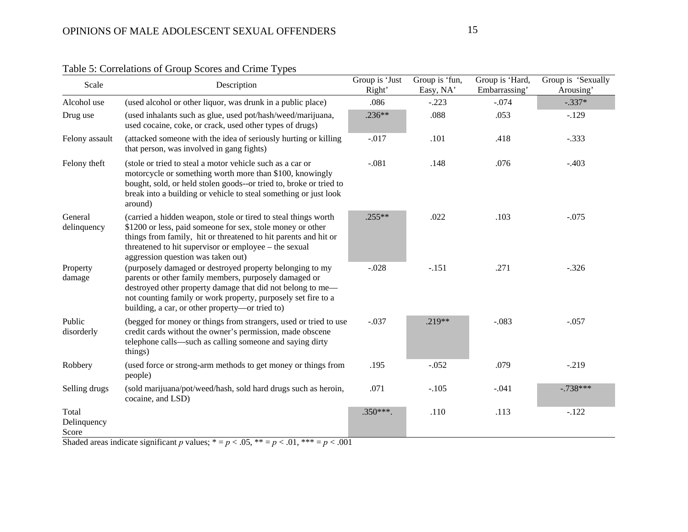| Scale                         | Description                                                                                                                                                                                                                                                                                         | Group is 'Just<br>Right' | Group is 'fun,<br>Easy, NA' | Group is 'Hard,<br>Embarrassing' | Group is 'Sexually<br>Arousing' |
|-------------------------------|-----------------------------------------------------------------------------------------------------------------------------------------------------------------------------------------------------------------------------------------------------------------------------------------------------|--------------------------|-----------------------------|----------------------------------|---------------------------------|
| Alcohol use                   | (used alcohol or other liquor, was drunk in a public place)                                                                                                                                                                                                                                         | .086                     | $-.223$                     | $-.074$                          | $-.337*$                        |
| Drug use                      | (used inhalants such as glue, used pot/hash/weed/marijuana,<br>used cocaine, coke, or crack, used other types of drugs)                                                                                                                                                                             | $.236**$                 | .088                        | .053                             | $-.129$                         |
| Felony assault                | (attacked someone with the idea of seriously hurting or killing<br>that person, was involved in gang fights)                                                                                                                                                                                        | $-.017$                  | .101                        | .418                             | $-.333$                         |
| Felony theft                  | (stole or tried to steal a motor vehicle such as a car or<br>motorcycle or something worth more than \$100, knowingly<br>bought, sold, or held stolen goods--or tried to, broke or tried to<br>break into a building or vehicle to steal something or just look<br>around)                          | $-.081$                  | .148                        | .076                             | $-.403$                         |
| General<br>delinquency        | (carried a hidden weapon, stole or tired to steal things worth<br>\$1200 or less, paid someone for sex, stole money or other<br>things from family, hit or threatened to hit parents and hit or<br>threatened to hit supervisor or employee – the sexual<br>aggression question was taken out)      | $.255**$                 | .022                        | .103                             | $-.075$                         |
| Property<br>damage            | (purposely damaged or destroyed property belonging to my<br>parents or other family members, purposely damaged or<br>destroyed other property damage that did not belong to me-<br>not counting family or work property, purposely set fire to a<br>building, a car, or other property—or tried to) | $-.028$                  | $-.151$                     | .271                             | $-.326$                         |
| Public<br>disorderly          | (begged for money or things from strangers, used or tried to use<br>credit cards without the owner's permission, made obscene<br>telephone calls—such as calling someone and saying dirty<br>things)                                                                                                | $-.037$                  | $.219**$                    | $-.083$                          | $-.057$                         |
| Robbery                       | (used force or strong-arm methods to get money or things from<br>people)                                                                                                                                                                                                                            | .195                     | $-.052$                     | .079                             | $-.219$                         |
| Selling drugs                 | (sold marijuana/pot/weed/hash, sold hard drugs such as heroin,<br>cocaine, and LSD)                                                                                                                                                                                                                 | .071                     | $-.105$                     | $-.041$                          | $-.738***$                      |
| Total<br>Delinquency<br>Score |                                                                                                                                                                                                                                                                                                     | $.350***$                | .110                        | .113                             | $-.122$                         |

Table 5: Correlations of Group Scores and Crime Types

Shaded areas indicate significant *p* values;  $* = p < .05$ ,  $** = p < .01$ ,  $*** = p < .001$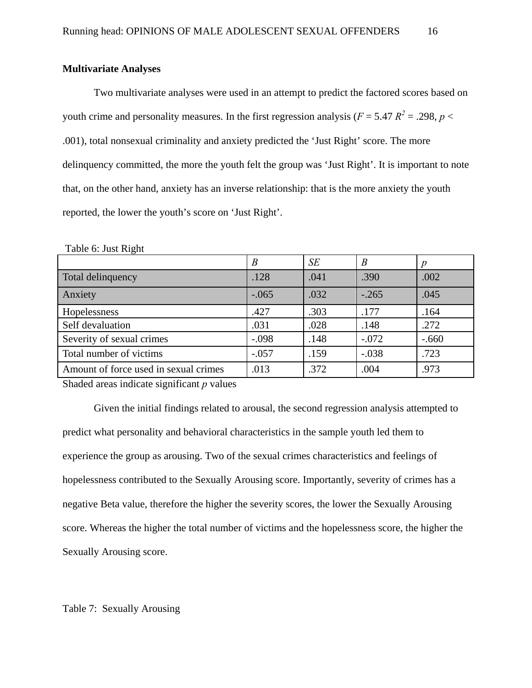# **Multivariate Analyses**

Two multivariate analyses were used in an attempt to predict the factored scores based on youth crime and personality measures. In the first regression analysis ( $F = 5.47 R^2 = .298$ ,  $p <$ .001), total nonsexual criminality and anxiety predicted the 'Just Right' score. The more delinquency committed, the more the youth felt the group was 'Just Right'. It is important to note that, on the other hand, anxiety has an inverse relationship: that is the more anxiety the youth reported, the lower the youth's score on 'Just Right'.

| LAUIT U. JUST IMPHI                   |                  |      |         |         |
|---------------------------------------|------------------|------|---------|---------|
|                                       | $\boldsymbol{B}$ | SE   | B       |         |
| Total delinquency                     | .128             | .041 | .390    | .002    |
| Anxiety                               | $-.065$          | .032 | $-.265$ | .045    |
| Hopelessness                          | .427             | .303 | .177    | .164    |
| Self devaluation                      | .031             | .028 | .148    | .272    |
| Severity of sexual crimes             | $-.098$          | .148 | $-.072$ | $-.660$ |
| Total number of victims               | $-.057$          | .159 | $-.038$ | .723    |
| Amount of force used in sexual crimes | .013             | .372 | .004    | .973    |

Table 6: Just Right

Shaded areas indicate significant *p* values

Given the initial findings related to arousal, the second regression analysis attempted to predict what personality and behavioral characteristics in the sample youth led them to experience the group as arousing. Two of the sexual crimes characteristics and feelings of hopelessness contributed to the Sexually Arousing score. Importantly, severity of crimes has a negative Beta value, therefore the higher the severity scores, the lower the Sexually Arousing score. Whereas the higher the total number of victims and the hopelessness score, the higher the Sexually Arousing score.

Table 7: Sexually Arousing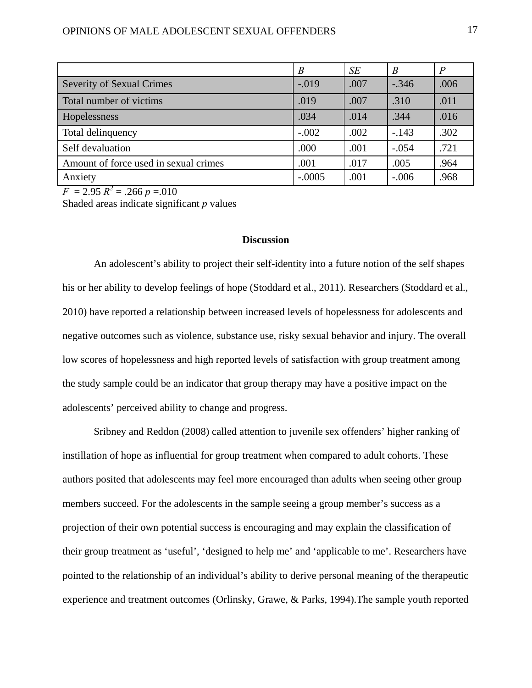|                                       | B        | SE   | $\boldsymbol{B}$ |      |
|---------------------------------------|----------|------|------------------|------|
| <b>Severity of Sexual Crimes</b>      | $-.019$  | .007 | $-.346$          | .006 |
| Total number of victims               | .019     | .007 | .310             | .011 |
| Hopelessness                          | .034     | .014 | .344             | .016 |
| Total delinquency                     | $-.002$  | .002 | $-.143$          | .302 |
| Self devaluation                      | .000     | .001 | $-.054$          | .721 |
| Amount of force used in sexual crimes | .001     | .017 | .005             | .964 |
| Anxiety                               | $-.0005$ | .001 | $-.006$          | .968 |

 $F = 2.95 R^2 = .266 p = .010$ 

Shaded areas indicate significant *p* values

## **Discussion**

An adolescent's ability to project their self-identity into a future notion of the self shapes his or her ability to develop feelings of hope (Stoddard et al., 2011). Researchers (Stoddard et al., 2010) have reported a relationship between increased levels of hopelessness for adolescents and negative outcomes such as violence, substance use, risky sexual behavior and injury. The overall low scores of hopelessness and high reported levels of satisfaction with group treatment among the study sample could be an indicator that group therapy may have a positive impact on the adolescents' perceived ability to change and progress.

Sribney and Reddon (2008) called attention to juvenile sex offenders' higher ranking of instillation of hope as influential for group treatment when compared to adult cohorts. These authors posited that adolescents may feel more encouraged than adults when seeing other group members succeed. For the adolescents in the sample seeing a group member's success as a projection of their own potential success is encouraging and may explain the classification of their group treatment as 'useful', 'designed to help me' and 'applicable to me'. Researchers have pointed to the relationship of an individual's ability to derive personal meaning of the therapeutic experience and treatment outcomes (Orlinsky, Grawe, & Parks, 1994).The sample youth reported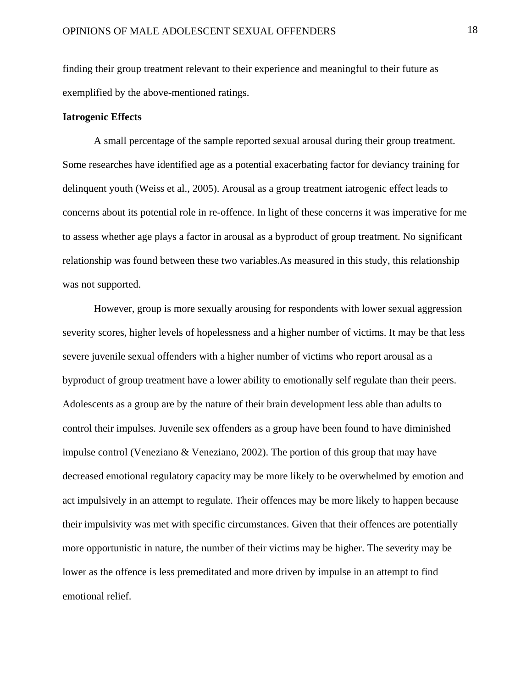finding their group treatment relevant to their experience and meaningful to their future as exemplified by the above-mentioned ratings.

### **Iatrogenic Effects**

A small percentage of the sample reported sexual arousal during their group treatment. Some researches have identified age as a potential exacerbating factor for deviancy training for delinquent youth (Weiss et al., 2005). Arousal as a group treatment iatrogenic effect leads to concerns about its potential role in re-offence. In light of these concerns it was imperative for me to assess whether age plays a factor in arousal as a byproduct of group treatment. No significant relationship was found between these two variables.As measured in this study, this relationship was not supported.

However, group is more sexually arousing for respondents with lower sexual aggression severity scores, higher levels of hopelessness and a higher number of victims. It may be that less severe juvenile sexual offenders with a higher number of victims who report arousal as a byproduct of group treatment have a lower ability to emotionally self regulate than their peers. Adolescents as a group are by the nature of their brain development less able than adults to control their impulses. Juvenile sex offenders as a group have been found to have diminished impulse control (Veneziano  $\&$  Veneziano, 2002). The portion of this group that may have decreased emotional regulatory capacity may be more likely to be overwhelmed by emotion and act impulsively in an attempt to regulate. Their offences may be more likely to happen because their impulsivity was met with specific circumstances. Given that their offences are potentially more opportunistic in nature, the number of their victims may be higher. The severity may be lower as the offence is less premeditated and more driven by impulse in an attempt to find emotional relief.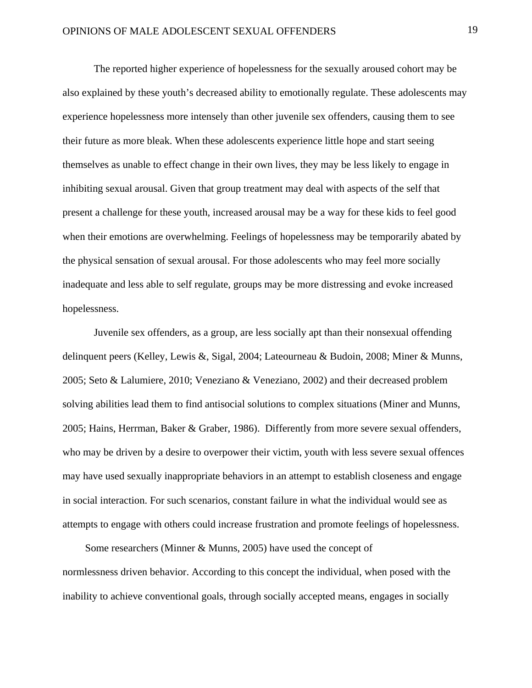The reported higher experience of hopelessness for the sexually aroused cohort may be also explained by these youth's decreased ability to emotionally regulate. These adolescents may experience hopelessness more intensely than other juvenile sex offenders, causing them to see their future as more bleak. When these adolescents experience little hope and start seeing themselves as unable to effect change in their own lives, they may be less likely to engage in inhibiting sexual arousal. Given that group treatment may deal with aspects of the self that present a challenge for these youth, increased arousal may be a way for these kids to feel good when their emotions are overwhelming. Feelings of hopelessness may be temporarily abated by the physical sensation of sexual arousal. For those adolescents who may feel more socially inadequate and less able to self regulate, groups may be more distressing and evoke increased hopelessness.

Juvenile sex offenders, as a group, are less socially apt than their nonsexual offending delinquent peers (Kelley, Lewis &, Sigal, 2004; Lateourneau & Budoin, 2008; Miner & Munns, 2005; Seto & Lalumiere, 2010; Veneziano & Veneziano, 2002) and their decreased problem solving abilities lead them to find antisocial solutions to complex situations (Miner and Munns, 2005; Hains, Herrman, Baker & Graber, 1986). Differently from more severe sexual offenders, who may be driven by a desire to overpower their victim, youth with less severe sexual offences may have used sexually inappropriate behaviors in an attempt to establish closeness and engage in social interaction. For such scenarios, constant failure in what the individual would see as attempts to engage with others could increase frustration and promote feelings of hopelessness.

 Some researchers (Minner & Munns, 2005) have used the concept of normlessness driven behavior. According to this concept the individual, when posed with the inability to achieve conventional goals, through socially accepted means, engages in socially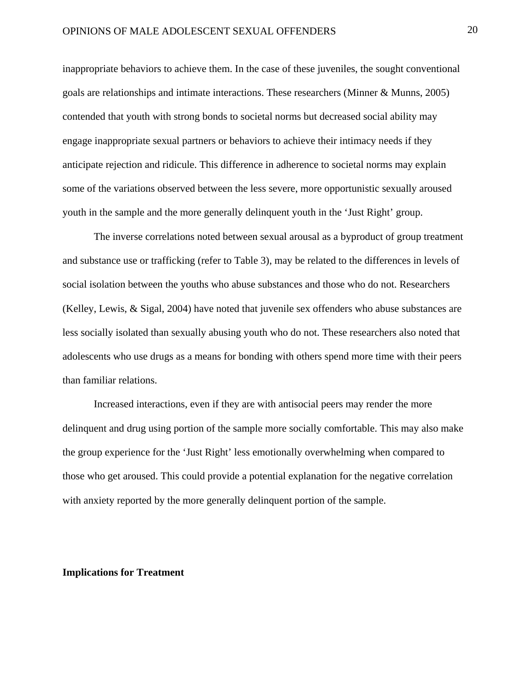inappropriate behaviors to achieve them. In the case of these juveniles, the sought conventional goals are relationships and intimate interactions. These researchers (Minner & Munns, 2005) contended that youth with strong bonds to societal norms but decreased social ability may engage inappropriate sexual partners or behaviors to achieve their intimacy needs if they anticipate rejection and ridicule. This difference in adherence to societal norms may explain some of the variations observed between the less severe, more opportunistic sexually aroused youth in the sample and the more generally delinquent youth in the 'Just Right' group.

The inverse correlations noted between sexual arousal as a byproduct of group treatment and substance use or trafficking (refer to Table 3), may be related to the differences in levels of social isolation between the youths who abuse substances and those who do not. Researchers (Kelley, Lewis, & Sigal, 2004) have noted that juvenile sex offenders who abuse substances are less socially isolated than sexually abusing youth who do not. These researchers also noted that adolescents who use drugs as a means for bonding with others spend more time with their peers than familiar relations.

Increased interactions, even if they are with antisocial peers may render the more delinquent and drug using portion of the sample more socially comfortable. This may also make the group experience for the 'Just Right' less emotionally overwhelming when compared to those who get aroused. This could provide a potential explanation for the negative correlation with anxiety reported by the more generally delinquent portion of the sample.

### **Implications for Treatment**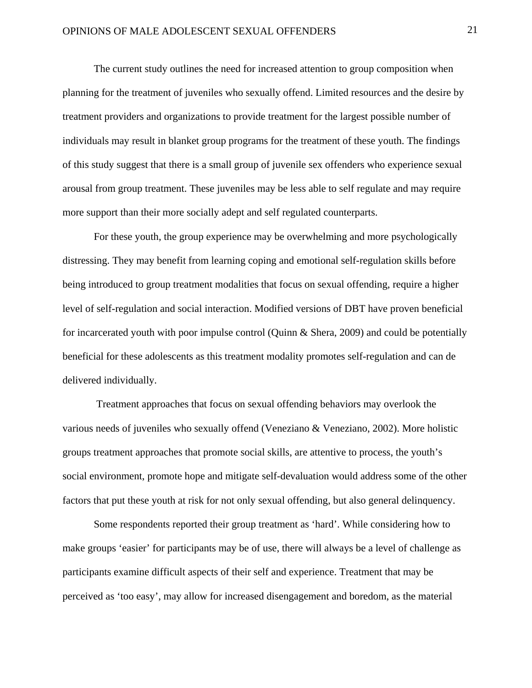The current study outlines the need for increased attention to group composition when planning for the treatment of juveniles who sexually offend. Limited resources and the desire by treatment providers and organizations to provide treatment for the largest possible number of individuals may result in blanket group programs for the treatment of these youth. The findings of this study suggest that there is a small group of juvenile sex offenders who experience sexual arousal from group treatment. These juveniles may be less able to self regulate and may require more support than their more socially adept and self regulated counterparts.

For these youth, the group experience may be overwhelming and more psychologically distressing. They may benefit from learning coping and emotional self-regulation skills before being introduced to group treatment modalities that focus on sexual offending, require a higher level of self-regulation and social interaction. Modified versions of DBT have proven beneficial for incarcerated youth with poor impulse control (Quinn  $\&$  Shera, 2009) and could be potentially beneficial for these adolescents as this treatment modality promotes self-regulation and can de delivered individually.

 Treatment approaches that focus on sexual offending behaviors may overlook the various needs of juveniles who sexually offend (Veneziano & Veneziano, 2002). More holistic groups treatment approaches that promote social skills, are attentive to process, the youth's social environment, promote hope and mitigate self-devaluation would address some of the other factors that put these youth at risk for not only sexual offending, but also general delinquency.

Some respondents reported their group treatment as 'hard'. While considering how to make groups 'easier' for participants may be of use, there will always be a level of challenge as participants examine difficult aspects of their self and experience. Treatment that may be perceived as 'too easy', may allow for increased disengagement and boredom, as the material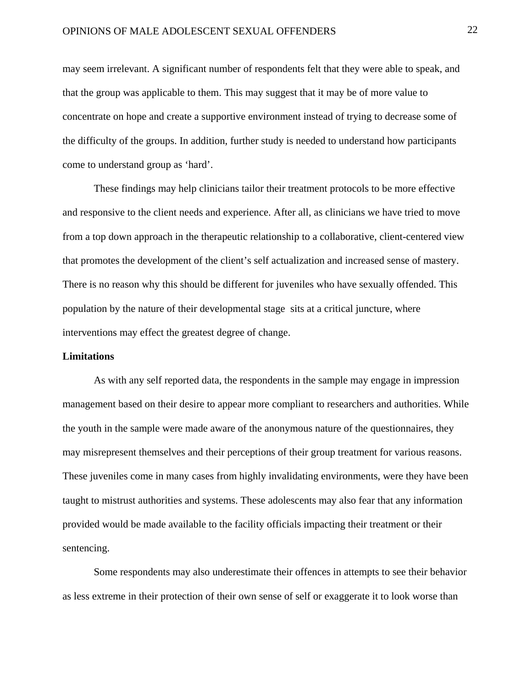# OPINIONS OF MALE ADOLESCENT SEXUAL OFFENDERS 22

may seem irrelevant. A significant number of respondents felt that they were able to speak, and that the group was applicable to them. This may suggest that it may be of more value to concentrate on hope and create a supportive environment instead of trying to decrease some of the difficulty of the groups. In addition, further study is needed to understand how participants come to understand group as 'hard'.

These findings may help clinicians tailor their treatment protocols to be more effective and responsive to the client needs and experience. After all, as clinicians we have tried to move from a top down approach in the therapeutic relationship to a collaborative, client-centered view that promotes the development of the client's self actualization and increased sense of mastery. There is no reason why this should be different for juveniles who have sexually offended. This population by the nature of their developmental stage sits at a critical juncture, where interventions may effect the greatest degree of change.

### **Limitations**

As with any self reported data, the respondents in the sample may engage in impression management based on their desire to appear more compliant to researchers and authorities. While the youth in the sample were made aware of the anonymous nature of the questionnaires, they may misrepresent themselves and their perceptions of their group treatment for various reasons. These juveniles come in many cases from highly invalidating environments, were they have been taught to mistrust authorities and systems. These adolescents may also fear that any information provided would be made available to the facility officials impacting their treatment or their sentencing.

Some respondents may also underestimate their offences in attempts to see their behavior as less extreme in their protection of their own sense of self or exaggerate it to look worse than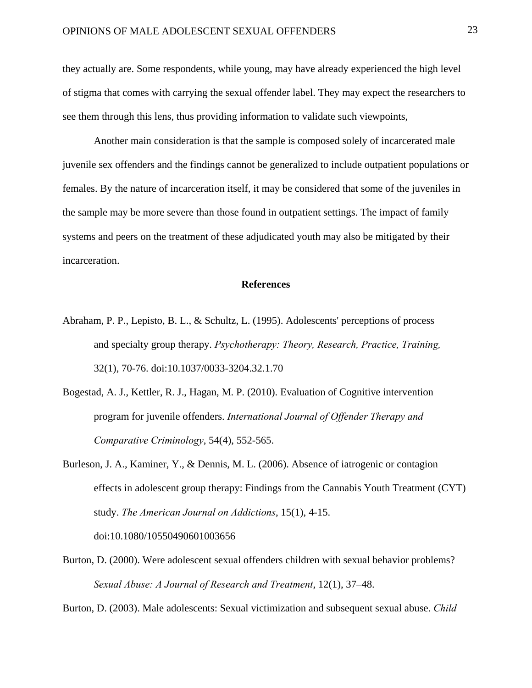they actually are. Some respondents, while young, may have already experienced the high level of stigma that comes with carrying the sexual offender label. They may expect the researchers to see them through this lens, thus providing information to validate such viewpoints,

Another main consideration is that the sample is composed solely of incarcerated male juvenile sex offenders and the findings cannot be generalized to include outpatient populations or females. By the nature of incarceration itself, it may be considered that some of the juveniles in the sample may be more severe than those found in outpatient settings. The impact of family systems and peers on the treatment of these adjudicated youth may also be mitigated by their incarceration.

### **References**

- Abraham, P. P., Lepisto, B. L., & Schultz, L. (1995). Adolescents' perceptions of process and specialty group therapy. *Psychotherapy: Theory, Research, Practice, Training,*  32(1), 70-76. doi:10.1037/0033-3204.32.1.70
- Bogestad, A. J., Kettler, R. J., Hagan, M. P. (2010). Evaluation of Cognitive intervention program for juvenile offenders. *International Journal of Offender Therapy and Comparative Criminology*, 54(4), 552-565.
- Burleson, J. A., Kaminer, Y., & Dennis, M. L. (2006). Absence of iatrogenic or contagion effects in adolescent group therapy: Findings from the Cannabis Youth Treatment (CYT) study. *The American Journal on Addictions*, 15(1), 4-15.

doi:10.1080/10550490601003656

Burton, D. (2000). Were adolescent sexual offenders children with sexual behavior problems? *Sexual Abuse: A Journal of Research and Treatment*, 12(1), 37–48.

Burton, D. (2003). Male adolescents: Sexual victimization and subsequent sexual abuse. *Child*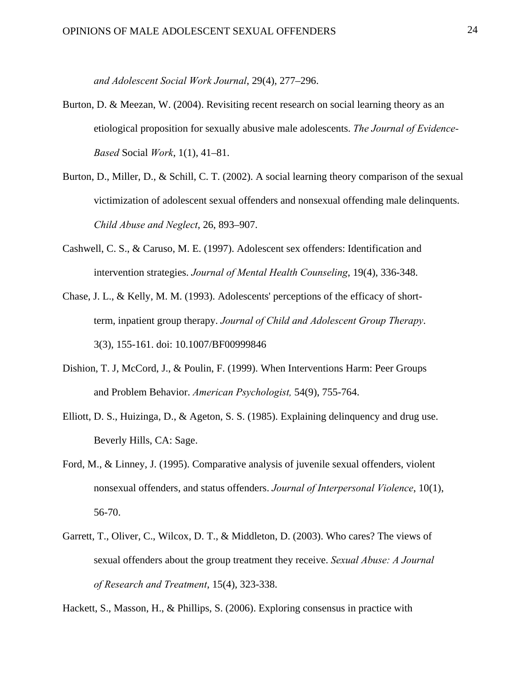*and Adolescent Social Work Journal*, 29(4), 277–296.

- Burton, D. & Meezan, W. (2004). Revisiting recent research on social learning theory as an etiological proposition for sexually abusive male adolescents. *The Journal of Evidence-Based* Social *Work*, 1(1), 41–81.
- Burton, D., Miller, D., & Schill, C. T. (2002). A social learning theory comparison of the sexual victimization of adolescent sexual offenders and nonsexual offending male delinquents. *Child Abuse and Neglect*, 26, 893–907.
- Cashwell, C. S., & Caruso, M. E. (1997). Adolescent sex offenders: Identification and intervention strategies. *Journal of Mental Health Counseling*, 19(4), 336-348.
- Chase, J. L., & Kelly, M. M. (1993). Adolescents' perceptions of the efficacy of shortterm, inpatient group therapy. *Journal of Child and Adolescent Group Therapy*. 3(3), 155-161. doi: 10.1007/BF00999846
- Dishion, T. J, McCord, J., & Poulin, F. (1999). When Interventions Harm: Peer Groups and Problem Behavior. *American Psychologist,* 54(9), 755-764.
- Elliott, D. S., Huizinga, D., & Ageton, S. S. (1985). Explaining delinquency and drug use. Beverly Hills, CA: Sage.
- Ford, M., & Linney, J. (1995). Comparative analysis of juvenile sexual offenders, violent nonsexual offenders, and status offenders. *Journal of Interpersonal Violence*, 10(1), 56-70.
- Garrett, T., Oliver, C., Wilcox, D. T., & Middleton, D. (2003). Who cares? The views of sexual offenders about the group treatment they receive. *Sexual Abuse: A Journal of Research and Treatment*, 15(4), 323-338.

Hackett, S., Masson, H., & Phillips, S. (2006). Exploring consensus in practice with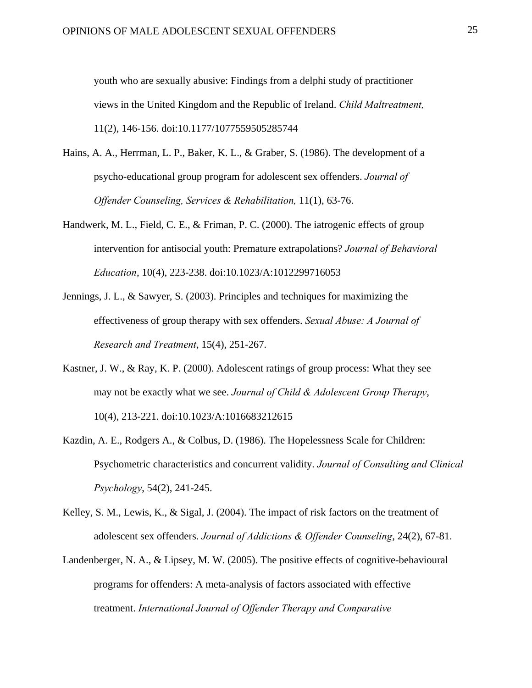youth who are sexually abusive: Findings from a delphi study of practitioner views in the United Kingdom and the Republic of Ireland. *Child Maltreatment,*  11(2), 146-156. doi:10.1177/1077559505285744

- Hains, A. A., Herrman, L. P., Baker, K. L., & Graber, S. (1986). The development of a psycho-educational group program for adolescent sex offenders. *Journal of Offender Counseling, Services & Rehabilitation,* 11(1), 63-76.
- Handwerk, M. L., Field, C. E., & Friman, P. C. (2000). The iatrogenic effects of group intervention for antisocial youth: Premature extrapolations? *Journal of Behavioral Education*, 10(4), 223-238. doi:10.1023/A:1012299716053
- Jennings, J. L., & Sawyer, S. (2003). Principles and techniques for maximizing the effectiveness of group therapy with sex offenders. *Sexual Abuse: A Journal of Research and Treatment*, 15(4), 251-267.
- Kastner, J. W., & Ray, K. P. (2000). Adolescent ratings of group process: What they see may not be exactly what we see. *Journal of Child & Adolescent Group Therapy*, 10(4), 213-221. doi:10.1023/A:1016683212615
- Kazdin, A. E., Rodgers A., & Colbus, D. (1986). The Hopelessness Scale for Children: Psychometric characteristics and concurrent validity. *Journal of Consulting and Clinical Psychology*, 54(2), 241-245.
- Kelley, S. M., Lewis, K., & Sigal, J. (2004). The impact of risk factors on the treatment of adolescent sex offenders. *Journal of Addictions & Offender Counseling*, 24(2), 67-81.
- Landenberger, N. A., & Lipsey, M. W. (2005). The positive effects of cognitive-behavioural programs for offenders: A meta-analysis of factors associated with effective treatment. *International Journal of Offender Therapy and Comparative*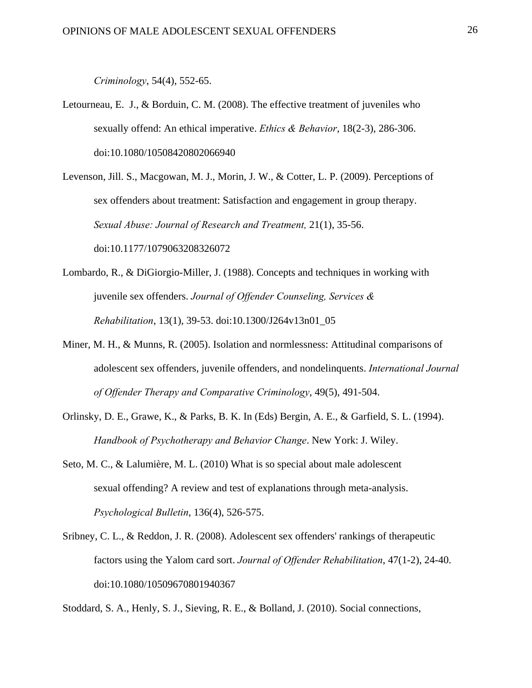*Criminology*, 54(4), 552-65.

- Letourneau, E. J., & Borduin, C. M. (2008). The effective treatment of juveniles who sexually offend: An ethical imperative. *Ethics & Behavior*, 18(2-3), 286-306. doi:10.1080/10508420802066940
- Levenson, Jill. S., Macgowan, M. J., Morin, J. W., & Cotter, L. P. (2009). Perceptions of sex offenders about treatment: Satisfaction and engagement in group therapy. *Sexual Abuse: Journal of Research and Treatment,* 21(1), 35-56. doi:10.1177/1079063208326072
- Lombardo, R., & DiGiorgio-Miller, J. (1988). Concepts and techniques in working with juvenile sex offenders. *Journal of Offender Counseling, Services & Rehabilitation*, 13(1), 39-53. doi:10.1300/J264v13n01\_05
- Miner, M. H., & Munns, R. (2005). Isolation and normlessness: Attitudinal comparisons of adolescent sex offenders, juvenile offenders, and nondelinquents. *International Journal of Offender Therapy and Comparative Criminology*, 49(5), 491-504.
- Orlinsky, D. E., Grawe, K., & Parks, B. K. In (Eds) Bergin, A. E., & Garfield, S. L. (1994). *Handbook of Psychotherapy and Behavior Change*. New York: J. Wiley.
- Seto, M. C., & Lalumière, M. L. (2010) What is so special about male adolescent sexual offending? A review and test of explanations through meta-analysis. *Psychological Bulletin*, 136(4), 526-575.
- Sribney, C. L., & Reddon, J. R. (2008). Adolescent sex offenders' rankings of therapeutic factors using the Yalom card sort. *Journal of Offender Rehabilitation*, 47(1-2), 24-40. doi:10.1080/10509670801940367

Stoddard, S. A., Henly, S. J., Sieving, R. E., & Bolland, J. (2010). Social connections,